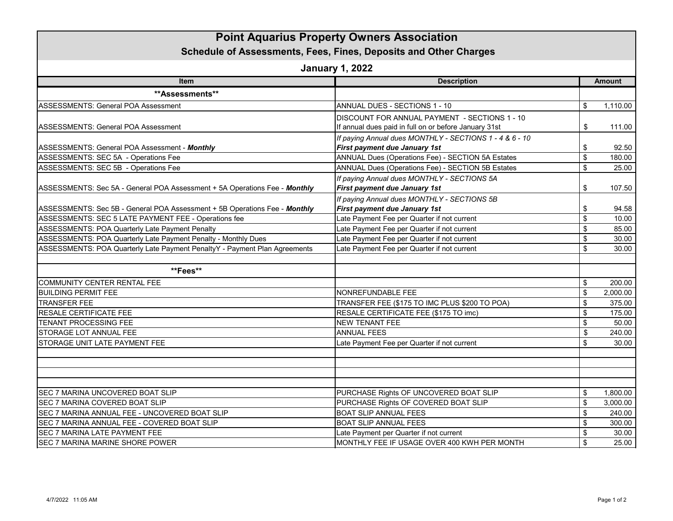| <b>Point Aquarius Property Owners Association</b><br>Schedule of Assessments, Fees, Fines, Deposits and Other Charges<br><b>January 1, 2022</b> |                                                                                                        |                           |          |  |
|-------------------------------------------------------------------------------------------------------------------------------------------------|--------------------------------------------------------------------------------------------------------|---------------------------|----------|--|
|                                                                                                                                                 |                                                                                                        |                           |          |  |
| **Assessments**                                                                                                                                 |                                                                                                        |                           |          |  |
| <b>ASSESSMENTS: General POA Assessment</b>                                                                                                      | ANNUAL DUES - SECTIONS 1 - 10                                                                          | \$                        | 1,110.00 |  |
| <b>ASSESSMENTS: General POA Assessment</b>                                                                                                      | DISCOUNT FOR ANNUAL PAYMENT - SECTIONS 1 - 10<br>If annual dues paid in full on or before January 31st | \$                        | 111.00   |  |
| ASSESSMENTS: General POA Assessment - Monthly                                                                                                   | If paying Annual dues MONTHLY - SECTIONS 1 - 4 & 6 - 10<br>First payment due January 1st               | \$                        | 92.50    |  |
| ASSESSMENTS: SEC 5A - Operations Fee                                                                                                            | ANNUAL Dues (Operations Fee) - SECTION 5A Estates                                                      | $\boldsymbol{\mathsf{S}}$ | 180.00   |  |
| ASSESSMENTS: SEC 5B - Operations Fee                                                                                                            | ANNUAL Dues (Operations Fee) - SECTION 5B Estates                                                      | \$                        | 25.00    |  |
| ASSESSMENTS: Sec 5A - General POA Assessment + 5A Operations Fee - Monthly                                                                      | If paying Annual dues MONTHLY - SECTIONS 5A<br>First payment due January 1st                           | \$                        | 107.50   |  |
|                                                                                                                                                 | If paying Annual dues MONTHLY - SECTIONS 5B                                                            |                           |          |  |
| ASSESSMENTS: Sec 5B - General POA Assessment + 5B Operations Fee - Monthly                                                                      | First payment due January 1st                                                                          | \$                        | 94.58    |  |
| ASSESSMENTS: SEC 5 LATE PAYMENT FEE - Operations fee                                                                                            | Late Payment Fee per Quarter if not current                                                            | $\mathfrak s$             | 10.00    |  |
| <b>ASSESSMENTS: POA Quarterly Late Payment Penalty</b>                                                                                          | Late Payment Fee per Quarter if not current                                                            | \$                        | 85.00    |  |
| ASSESSMENTS: POA Quarterly Late Payment Penalty - Monthly Dues                                                                                  | Late Payment Fee per Quarter if not current                                                            | \$                        | 30.00    |  |
| ASSESSMENTS: POA Quarterly Late Payment PenaltyY - Payment Plan Agreements                                                                      | Late Payment Fee per Quarter if not current                                                            | \$                        | 30.00    |  |
| **Fees**                                                                                                                                        |                                                                                                        |                           |          |  |
| COMMUNITY CENTER RENTAL FEE                                                                                                                     |                                                                                                        | \$                        | 200.00   |  |
| <b>BUILDING PERMIT FEE</b>                                                                                                                      | NONREFUNDABLE FEE                                                                                      | \$                        | 2,000.00 |  |
| <b>TRANSFER FEE</b>                                                                                                                             | TRANSFER FEE (\$175 TO IMC PLUS \$200 TO POA)                                                          | \$                        | 375.00   |  |
| RESALE CERTIFICATE FEE                                                                                                                          | RESALE CERTIFICATE FEE (\$175 TO imc)                                                                  | \$                        | 175.00   |  |
| <b>TENANT PROCESSING FEE</b>                                                                                                                    | <b>NEW TENANT FEE</b>                                                                                  | \$                        | 50.00    |  |
| STORAGE LOT ANNUAL FEE                                                                                                                          | <b>ANNUAL FEES</b>                                                                                     | \$                        | 240.00   |  |
| STORAGE UNIT LATE PAYMENT FEE                                                                                                                   | Late Payment Fee per Quarter if not current                                                            | \$                        | 30.00    |  |
|                                                                                                                                                 |                                                                                                        |                           |          |  |
| SEC 7 MARINA UNCOVERED BOAT SLIP                                                                                                                | PURCHASE Rights OF UNCOVERED BOAT SLIP                                                                 | \$                        | 1,800.00 |  |
| SEC 7 MARINA COVERED BOAT SLIP                                                                                                                  | PURCHASE Rights OF COVERED BOAT SLIP                                                                   | $\boldsymbol{\mathsf{S}}$ | 3,000.00 |  |
| SEC 7 MARINA ANNUAL FEE - UNCOVERED BOAT SLIP                                                                                                   | <b>BOAT SLIP ANNUAL FEES</b>                                                                           | \$                        | 240.00   |  |
| SEC 7 MARINA ANNUAL FEE - COVERED BOAT SLIP                                                                                                     | <b>BOAT SLIP ANNUAL FEES</b>                                                                           | \$                        | 300.00   |  |
| SEC 7 MARINA LATE PAYMENT FEE                                                                                                                   | Late Payment per Quarter if not current                                                                | \$                        | 30.00    |  |
| SEC 7 MARINA MARINE SHORE POWER                                                                                                                 | MONTHLY FEE IF USAGE OVER 400 KWH PER MONTH                                                            | \$                        | 25.00    |  |